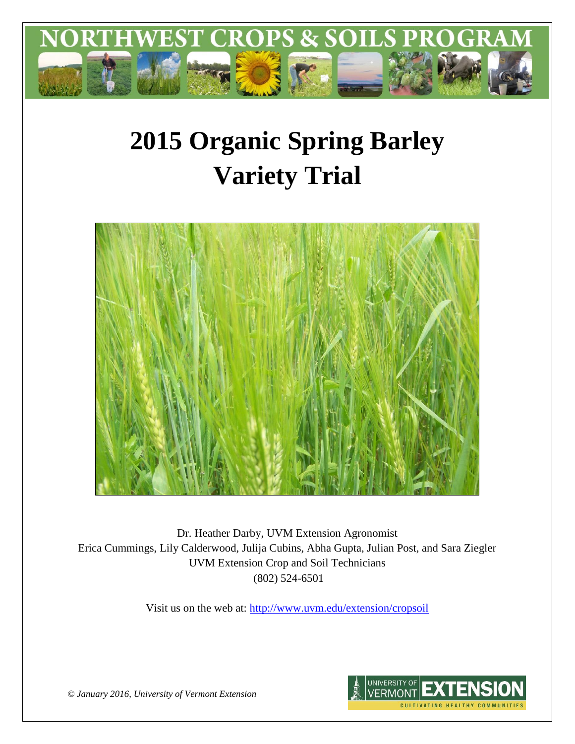

# **2015 Organic Spring Barley Variety Trial**



Dr. Heather Darby, UVM Extension Agronomist Erica Cummings, Lily Calderwood, Julija Cubins, Abha Gupta, Julian Post, and Sara Ziegler UVM Extension Crop and Soil Technicians (802) 524-6501

Visit us on the web at:<http://www.uvm.edu/extension/cropsoil>



*© January 2016, University of Vermont Extension*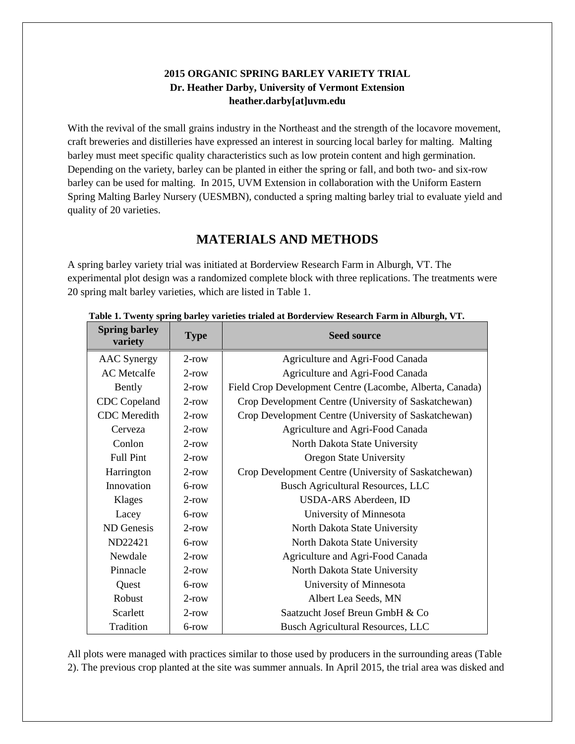### **2015 ORGANIC SPRING BARLEY VARIETY TRIAL Dr. Heather Darby, University of Vermont Extension heather.darby[at]uvm.edu**

With the revival of the small grains industry in the Northeast and the strength of the locavore movement, craft breweries and distilleries have expressed an interest in sourcing local barley for malting. Malting barley must meet specific quality characteristics such as low protein content and high germination. Depending on the variety, barley can be planted in either the spring or fall, and both two- and six-row barley can be used for malting. In 2015, UVM Extension in collaboration with the Uniform Eastern Spring Malting Barley Nursery (UESMBN), conducted a spring malting barley trial to evaluate yield and quality of 20 varieties.

# **MATERIALS AND METHODS**

A spring barley variety trial was initiated at Borderview Research Farm in Alburgh, VT. The experimental plot design was a randomized complete block with three replications. The treatments were 20 spring malt barley varieties, which are listed in Table 1.

| <b>Spring barley</b><br>variety | <b>Type</b> | <b>Seed source</b>                                       |  |  |
|---------------------------------|-------------|----------------------------------------------------------|--|--|
| <b>AAC</b> Synergy              | $2$ -row    | Agriculture and Agri-Food Canada                         |  |  |
| <b>AC</b> Metcalfe              | $2$ -row    | Agriculture and Agri-Food Canada                         |  |  |
| Bently                          | $2$ -row    | Field Crop Development Centre (Lacombe, Alberta, Canada) |  |  |
| CDC Copeland                    | $2$ -row    | Crop Development Centre (University of Saskatchewan)     |  |  |
| <b>CDC</b> Meredith             | $2$ -row    | Crop Development Centre (University of Saskatchewan)     |  |  |
| Cerveza                         | $2$ -row    | Agriculture and Agri-Food Canada                         |  |  |
| Conlon                          | $2$ -row    | North Dakota State University                            |  |  |
| <b>Full Pint</b>                | $2$ -row    | <b>Oregon State University</b>                           |  |  |
| Harrington                      | $2$ -row    | Crop Development Centre (University of Saskatchewan)     |  |  |
| Innovation                      | $6$ -row    | <b>Busch Agricultural Resources, LLC</b>                 |  |  |
| Klages                          | $2$ -row    | USDA-ARS Aberdeen, ID                                    |  |  |
| Lacey                           | $6$ -row    | University of Minnesota                                  |  |  |
| ND Genesis                      | $2$ -row    | North Dakota State University                            |  |  |
| ND22421                         | 6-row       | North Dakota State University                            |  |  |
| Newdale                         | $2$ -row    | Agriculture and Agri-Food Canada                         |  |  |
| Pinnacle                        | $2$ -row    | North Dakota State University                            |  |  |
| Quest                           | $6$ -row    | University of Minnesota                                  |  |  |
| Robust                          | $2$ -row    | Albert Lea Seeds, MN                                     |  |  |
| Scarlett                        | $2$ -row    | Saatzucht Josef Breun GmbH & Co                          |  |  |
| Tradition                       | 6-row       | <b>Busch Agricultural Resources, LLC</b>                 |  |  |

 **Table 1. Twenty spring barley varieties trialed at Borderview Research Farm in Alburgh, VT.**

All plots were managed with practices similar to those used by producers in the surrounding areas (Table 2). The previous crop planted at the site was summer annuals. In April 2015, the trial area was disked and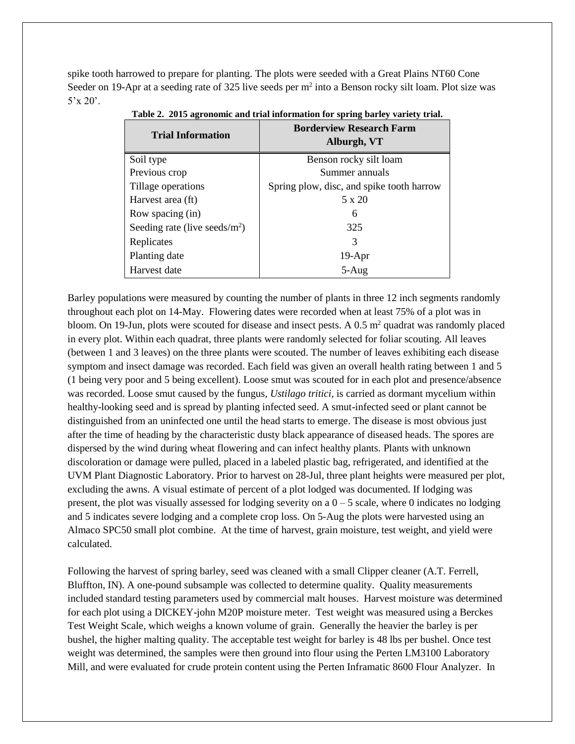spike tooth harrowed to prepare for planting. The plots were seeded with a Great Plains NT60 Cone Seeder on 19-Apr at a seeding rate of 325 live seeds per m<sup>2</sup> into a Benson rocky silt loam. Plot size was  $5'x 20'.$ 

| <b>Borderview Research Farm</b><br>Alburgh, VT |  |  |  |  |
|------------------------------------------------|--|--|--|--|
| Benson rocky silt loam                         |  |  |  |  |
| Summer annuals                                 |  |  |  |  |
| Spring plow, disc, and spike tooth harrow      |  |  |  |  |
| 5 x 20                                         |  |  |  |  |
| 6                                              |  |  |  |  |
| 325                                            |  |  |  |  |
| 3                                              |  |  |  |  |
| $19-Apr$                                       |  |  |  |  |
| $5-Aug$                                        |  |  |  |  |
|                                                |  |  |  |  |

**Table 2. 2015 agronomic and trial information for spring barley variety trial.**

Barley populations were measured by counting the number of plants in three 12 inch segments randomly throughout each plot on 14-May. Flowering dates were recorded when at least 75% of a plot was in bloom. On 19-Jun, plots were scouted for disease and insect pests. A  $0.5$  m<sup>2</sup> quadrat was randomly placed in every plot. Within each quadrat, three plants were randomly selected for foliar scouting. All leaves (between 1 and 3 leaves) on the three plants were scouted. The number of leaves exhibiting each disease symptom and insect damage was recorded. Each field was given an overall health rating between 1 and 5 (1 being very poor and 5 being excellent). Loose smut was scouted for in each plot and presence/absence was recorded. Loose smut caused by the fungus*, Ustilago tritici*, is carried as dormant mycelium within healthy-looking seed and is spread by planting infected seed. A smut-infected seed or plant cannot be distinguished from an uninfected one until the head starts to emerge. The disease is most obvious just after the time of heading by the characteristic dusty black appearance of diseased heads. The spores are dispersed by the wind during wheat flowering and can infect healthy plants. Plants with unknown discoloration or damage were pulled, placed in a labeled plastic bag, refrigerated, and identified at the UVM Plant Diagnostic Laboratory. Prior to harvest on 28-Jul, three plant heights were measured per plot, excluding the awns. A visual estimate of percent of a plot lodged was documented. If lodging was present, the plot was visually assessed for lodging severity on a  $0 - 5$  scale, where 0 indicates no lodging and 5 indicates severe lodging and a complete crop loss. On 5-Aug the plots were harvested using an Almaco SPC50 small plot combine. At the time of harvest, grain moisture, test weight, and yield were calculated.

Following the harvest of spring barley, seed was cleaned with a small Clipper cleaner (A.T. Ferrell, Bluffton, IN). A one-pound subsample was collected to determine quality. Quality measurements included standard testing parameters used by commercial malt houses. Harvest moisture was determined for each plot using a DICKEY-john M20P moisture meter. Test weight was measured using a Berckes Test Weight Scale, which weighs a known volume of grain. Generally the heavier the barley is per bushel, the higher malting quality. The acceptable test weight for barley is 48 lbs per bushel. Once test weight was determined, the samples were then ground into flour using the Perten LM3100 Laboratory Mill, and were evaluated for crude protein content using the Perten Inframatic 8600 Flour Analyzer. In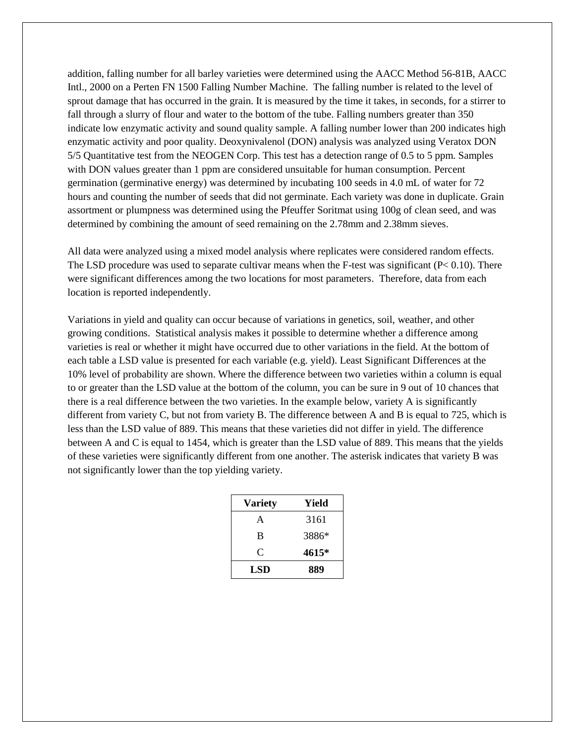addition, falling number for all barley varieties were determined using the AACC Method 56-81B, AACC Intl., 2000 on a Perten FN 1500 Falling Number Machine. The falling number is related to the level of sprout damage that has occurred in the grain. It is measured by the time it takes, in seconds, for a stirrer to fall through a slurry of flour and water to the bottom of the tube. Falling numbers greater than 350 indicate low enzymatic activity and sound quality sample. A falling number lower than 200 indicates high enzymatic activity and poor quality. Deoxynivalenol (DON) analysis was analyzed using Veratox DON 5/5 Quantitative test from the NEOGEN Corp. This test has a detection range of 0.5 to 5 ppm. Samples with DON values greater than 1 ppm are considered unsuitable for human consumption. Percent germination (germinative energy) was determined by incubating 100 seeds in 4.0 mL of water for 72 hours and counting the number of seeds that did not germinate. Each variety was done in duplicate. Grain assortment or plumpness was determined using the Pfeuffer Soritmat using 100g of clean seed, and was determined by combining the amount of seed remaining on the 2.78mm and 2.38mm sieves.

All data were analyzed using a mixed model analysis where replicates were considered random effects. The LSD procedure was used to separate cultivar means when the F-test was significant (P< 0.10). There were significant differences among the two locations for most parameters. Therefore, data from each location is reported independently.

Variations in yield and quality can occur because of variations in genetics, soil, weather, and other growing conditions. Statistical analysis makes it possible to determine whether a difference among varieties is real or whether it might have occurred due to other variations in the field. At the bottom of each table a LSD value is presented for each variable (e.g. yield). Least Significant Differences at the 10% level of probability are shown. Where the difference between two varieties within a column is equal to or greater than the LSD value at the bottom of the column, you can be sure in 9 out of 10 chances that there is a real difference between the two varieties. In the example below, variety A is significantly different from variety C, but not from variety B. The difference between A and B is equal to 725, which is less than the LSD value of 889. This means that these varieties did not differ in yield. The difference between A and C is equal to 1454, which is greater than the LSD value of 889. This means that the yields of these varieties were significantly different from one another. The asterisk indicates that variety B was not significantly lower than the top yielding variety.

| <b>Variety</b> | Yield |  |  |  |
|----------------|-------|--|--|--|
| A              | 3161  |  |  |  |
| B              | 3886* |  |  |  |
| C              | 4615* |  |  |  |
| LSD            | 889   |  |  |  |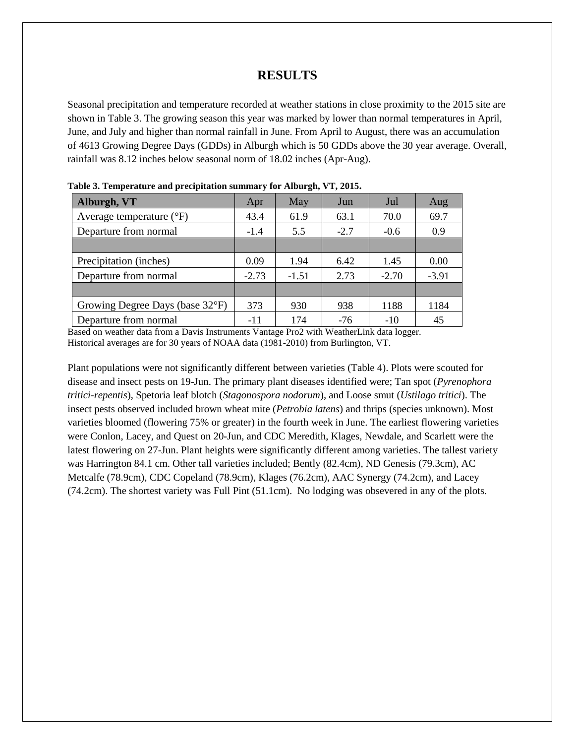### **RESULTS**

Seasonal precipitation and temperature recorded at weather stations in close proximity to the 2015 site are shown in Table 3. The growing season this year was marked by lower than normal temperatures in April, June, and July and higher than normal rainfall in June. From April to August, there was an accumulation of 4613 Growing Degree Days (GDDs) in Alburgh which is 50 GDDs above the 30 year average. Overall, rainfall was 8.12 inches below seasonal norm of 18.02 inches (Apr-Aug).

| Alburgh, VT                         | Apr     | May     | Jun    | Jul     | Aug     |
|-------------------------------------|---------|---------|--------|---------|---------|
| Average temperature $({}^{\circ}F)$ | 43.4    | 61.9    | 63.1   | 70.0    | 69.7    |
| Departure from normal               | $-1.4$  | 5.5     | $-2.7$ | $-0.6$  | 0.9     |
|                                     |         |         |        |         |         |
| Precipitation (inches)              | 0.09    | 1.94    | 6.42   | 1.45    | 0.00    |
| Departure from normal               | $-2.73$ | $-1.51$ | 2.73   | $-2.70$ | $-3.91$ |
|                                     |         |         |        |         |         |
| Growing Degree Days (base 32°F)     | 373     | 930     | 938    | 1188    | 1184    |
| Departure from normal               | -11     | 174     | $-76$  | $-10$   | 45      |

**Table 3. Temperature and precipitation summary for Alburgh, VT, 2015.**

Based on weather data from a Davis Instruments Vantage Pro2 with WeatherLink data logger. Historical averages are for 30 years of NOAA data (1981-2010) from Burlington, VT.

Plant populations were not significantly different between varieties (Table 4). Plots were scouted for disease and insect pests on 19-Jun. The primary plant diseases identified were; Tan spot (*Pyrenophora tritici-repentis*), Spetoria leaf blotch (*Stagonospora nodorum*), and Loose smut (*Ustilago tritici*). The insect pests observed included brown wheat mite (*Petrobia latens*) and thrips (species unknown). Most varieties bloomed (flowering 75% or greater) in the fourth week in June. The earliest flowering varieties were Conlon, Lacey, and Quest on 20-Jun, and CDC Meredith, Klages, Newdale, and Scarlett were the latest flowering on 27-Jun. Plant heights were significantly different among varieties. The tallest variety was Harrington 84.1 cm. Other tall varieties included; Bently (82.4cm), ND Genesis (79.3cm), AC Metcalfe (78.9cm), CDC Copeland (78.9cm), Klages (76.2cm), AAC Synergy (74.2cm), and Lacey (74.2cm). The shortest variety was Full Pint (51.1cm). No lodging was obsevered in any of the plots.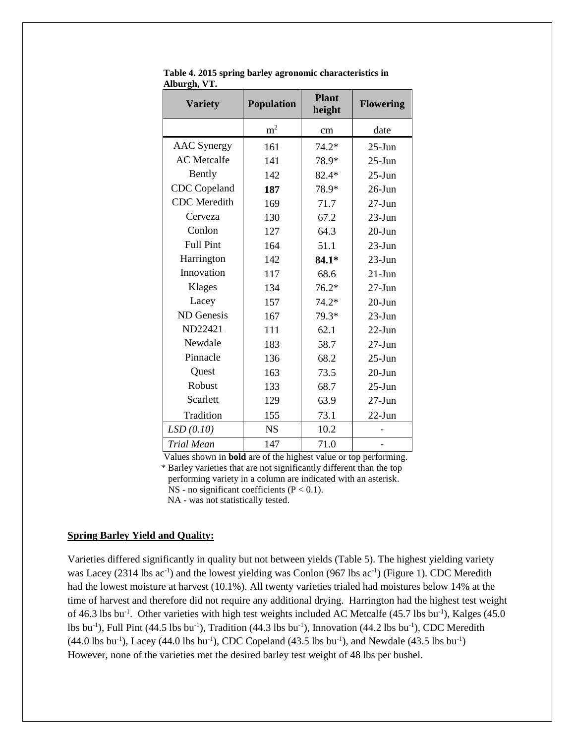| <b>Variety</b>      | <b>Population</b> | <b>Plant</b><br>height | <b>Flowering</b> |  |
|---------------------|-------------------|------------------------|------------------|--|
|                     | m <sup>2</sup>    | cm                     | date             |  |
| <b>AAC</b> Synergy  | 161               | $74.2*$                | $25 - Jun$       |  |
| <b>AC</b> Metcalfe  | 141               | 78.9*                  | $25 - Jun$       |  |
| Bently              | 142               | $82.4*$                | $25 - Jun$       |  |
| CDC Copeland        | 187               | 78.9*                  | $26$ -Jun        |  |
| <b>CDC</b> Meredith | 169               | 71.7                   | $27 - Jun$       |  |
| Cerveza             | 130               | 67.2                   | $23$ -Jun        |  |
| Conlon              | 127               | 64.3                   | $20$ -Jun        |  |
| <b>Full Pint</b>    | 164               | 51.1                   | $23$ -Jun        |  |
| Harrington          | 142               | 84.1*                  | $23$ -Jun        |  |
| Innovation          | 117               | 68.6                   | $21-J$ un        |  |
| Klages              | 134               | $76.2*$                | $27 - Jun$       |  |
| Lacey               | 157               | $74.2*$                | $20 - Jun$       |  |
| ND Genesis          | 167               | 79.3*                  | $23$ -Jun        |  |
| ND22421             | 111               | 62.1                   | $22$ -Jun        |  |
| Newdale             | 183               | 58.7                   | $27 - Jun$       |  |
| Pinnacle            | 136               | 68.2                   | $25 - Jun$       |  |
| Quest               | 163               | 73.5                   | $20$ -Jun        |  |
| Robust              | 133               | 68.7                   | $25 - Jun$       |  |
| Scarlett            | 129               | 63.9                   | $27 - Jun$       |  |
| Tradition           | 155               | 73.1                   | $22$ -Jun        |  |
| LSD(0.10)           | <b>NS</b>         | 10.2                   |                  |  |
| <b>Trial Mean</b>   | 147               | 71.0                   |                  |  |

 **Table 4. 2015 spring barley agronomic characteristics in Alburgh, VT.**

Values shown in **bold** are of the highest value or top performing.

 \* Barley varieties that are not significantly different than the top performing variety in a column are indicated with an asterisk. NS - no significant coefficients  $(P < 0.1)$ .

NA - was not statistically tested.

#### **Spring Barley Yield and Quality:**

Varieties differed significantly in quality but not between yields (Table 5). The highest yielding variety was Lacey (2314 lbs ac<sup>-1</sup>) and the lowest yielding was Conlon (967 lbs ac<sup>-1</sup>) (Figure 1). CDC Meredith had the lowest moisture at harvest (10.1%). All twenty varieties trialed had moistures below 14% at the time of harvest and therefore did not require any additional drying. Harrington had the highest test weight of 46.3 lbs bu<sup>-1</sup>. Other varieties with high test weights included AC Metcalfe (45.7 lbs bu<sup>-1</sup>), Kalges (45.0 lbs bu<sup>-1</sup>), Full Pint (44.5 lbs bu<sup>-1</sup>), Tradition (44.3 lbs bu<sup>-1</sup>), Innovation (44.2 lbs bu<sup>-1</sup>), CDC Meredith  $(44.0 \text{ lbs bu}^{-1})$ , Lacey  $(44.0 \text{ lbs bu}^{-1})$ , CDC Copeland  $(43.5 \text{ lbs bu}^{-1})$ , and Newdale  $(43.5 \text{ lbs bu}^{-1})$ However, none of the varieties met the desired barley test weight of 48 lbs per bushel.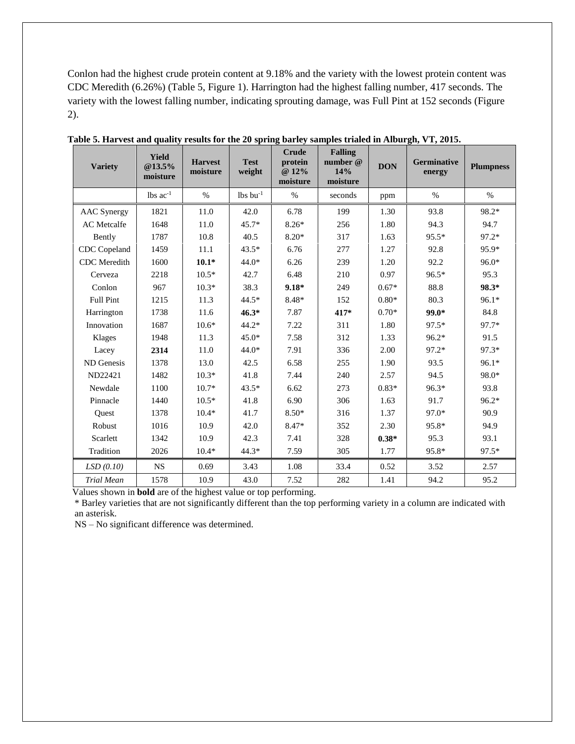Conlon had the highest crude protein content at 9.18% and the variety with the lowest protein content was CDC Meredith (6.26%) (Table 5, Figure 1). Harrington had the highest falling number, 417 seconds. The variety with the lowest falling number, indicating sprouting damage, was Full Pint at 152 seconds (Figure 2).

| <b>Variety</b>     | <b>Yield</b><br>@13.5%<br>moisture | <b>Harvest</b><br>moisture | <b>Test</b><br>weight  | <b>Crude</b><br>protein<br>@ 12%<br>moisture | <b>Falling</b><br>number @<br>14%<br>moisture | <b>DON</b> | Germinative<br>energy | <b>Plumpness</b> |
|--------------------|------------------------------------|----------------------------|------------------------|----------------------------------------------|-----------------------------------------------|------------|-----------------------|------------------|
|                    | $lbs$ ac <sup>-1</sup>             | %                          | $lbs$ bu <sup>-1</sup> | $\%$                                         | seconds                                       | ppm        | $\%$                  | $\%$             |
| <b>AAC</b> Synergy | 1821                               | 11.0                       | 42.0                   | 6.78                                         | 199                                           | 1.30       | 93.8                  | 98.2*            |
| AC Metcalfe        | 1648                               | 11.0                       | $45.7*$                | $8.26*$                                      | 256                                           | 1.80       | 94.3                  | 94.7             |
| Bently             | 1787                               | 10.8                       | 40.5                   | 8.20*                                        | 317                                           | 1.63       | $95.5*$               | $97.2*$          |
| CDC Copeland       | 1459                               | 11.1                       | $43.5*$                | 6.76                                         | 277                                           | 1.27       | 92.8                  | 95.9*            |
| CDC Meredith       | 1600                               | $10.1*$                    | $44.0*$                | 6.26                                         | 239                                           | 1.20       | 92.2                  | 96.0*            |
| Cerveza            | 2218                               | $10.5*$                    | 42.7                   | 6.48                                         | 210                                           | 0.97       | 96.5*                 | 95.3             |
| Conlon             | 967                                | $10.3*$                    | 38.3                   | $9.18*$                                      | 249                                           | $0.67*$    | 88.8                  | 98.3*            |
| <b>Full Pint</b>   | 1215                               | 11.3                       | $44.5*$                | 8.48*                                        | 152                                           | $0.80*$    | 80.3                  | $96.1*$          |
| Harrington         | 1738                               | 11.6                       | $46.3*$                | 7.87                                         | 417*                                          | $0.70*$    | 99.0*                 | 84.8             |
| Innovation         | 1687                               | $10.6*$                    | $44.2*$                | 7.22                                         | 311                                           | 1.80       | $97.5*$               | 97.7*            |
| Klages             | 1948                               | 11.3                       | $45.0*$                | 7.58                                         | 312                                           | 1.33       | 96.2*                 | 91.5             |
| Lacey              | 2314                               | 11.0                       | $44.0*$                | 7.91                                         | 336                                           | 2.00       | $97.2*$               | 97.3*            |
| ND Genesis         | 1378                               | 13.0                       | 42.5                   | 6.58                                         | 255                                           | 1.90       | 93.5                  | $96.1*$          |
| ND22421            | 1482                               | $10.3*$                    | 41.8                   | 7.44                                         | 240                                           | 2.57       | 94.5                  | 98.0*            |
| Newdale            | 1100                               | $10.7*$                    | $43.5*$                | 6.62                                         | 273                                           | $0.83*$    | $96.3*$               | 93.8             |
| Pinnacle           | 1440                               | $10.5*$                    | 41.8                   | 6.90                                         | 306                                           | 1.63       | 91.7                  | 96.2*            |
| Quest              | 1378                               | $10.4*$                    | 41.7                   | 8.50*                                        | 316                                           | 1.37       | 97.0*                 | 90.9             |
| Robust             | 1016                               | 10.9                       | 42.0                   | 8.47*                                        | 352                                           | 2.30       | 95.8*                 | 94.9             |
| Scarlett           | 1342                               | 10.9                       | 42.3                   | 7.41                                         | 328                                           | $0.38*$    | 95.3                  | 93.1             |
| Tradition          | 2026                               | $10.4*$                    | 44.3*                  | 7.59                                         | 305                                           | 1.77       | 95.8*                 | $97.5*$          |
| LSD(0.10)          | <b>NS</b>                          | 0.69                       | 3.43                   | 1.08                                         | 33.4                                          | 0.52       | 3.52                  | 2.57             |
| <b>Trial Mean</b>  | 1578                               | 10.9                       | 43.0                   | 7.52                                         | 282                                           | 1.41       | 94.2                  | 95.2             |

**Table 5. Harvest and quality results for the 20 spring barley samples trialed in Alburgh, VT, 2015.**

Values shown in **bold** are of the highest value or top performing.

 \* Barley varieties that are not significantly different than the top performing variety in a column are indicated with an asterisk.

NS – No significant difference was determined.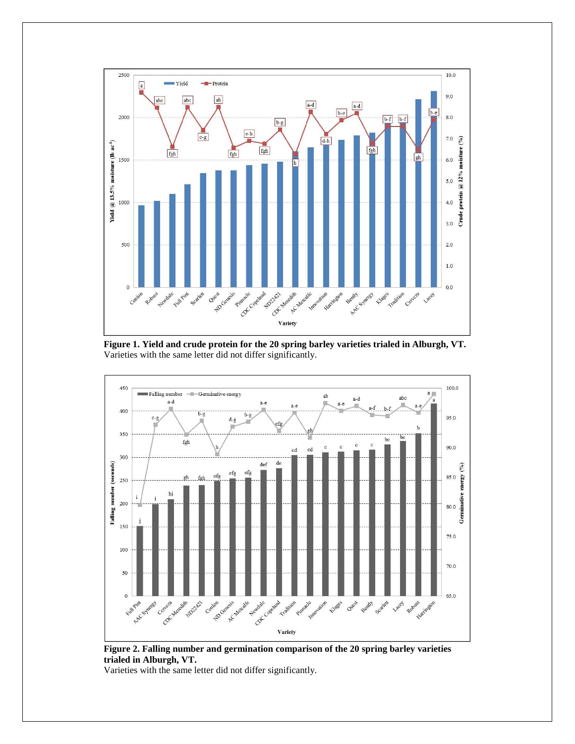

**Figure 1. Yield and crude protein for the 20 spring barley varieties trialed in Alburgh, VT.** Varieties with the same letter did not differ significantly.



**Figure 2. Falling number and germination comparison of the 20 spring barley varieties trialed in Alburgh, VT.** 

Varieties with the same letter did not differ significantly.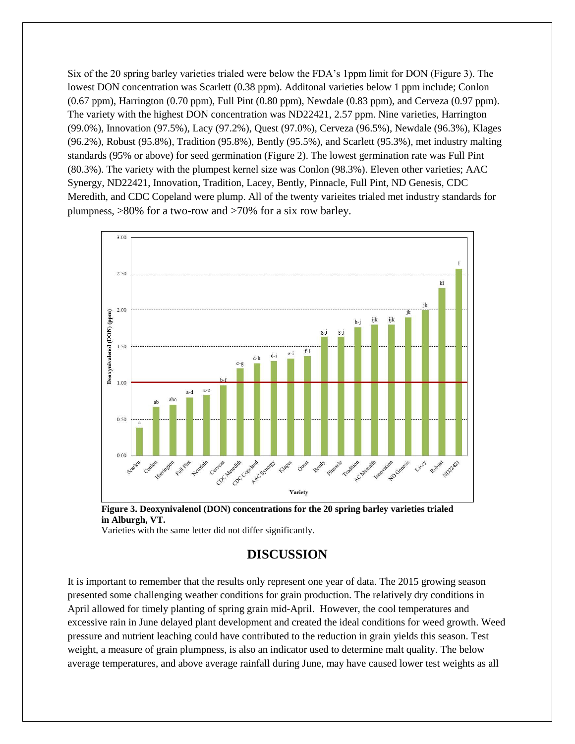Six of the 20 spring barley varieties trialed were below the FDA's 1ppm limit for DON (Figure 3). The lowest DON concentration was Scarlett (0.38 ppm). Additonal varieties below 1 ppm include; Conlon (0.67 ppm), Harrington (0.70 ppm), Full Pint (0.80 ppm), Newdale (0.83 ppm), and Cerveza (0.97 ppm). The variety with the highest DON concentration was ND22421, 2.57 ppm. Nine varieties, Harrington (99.0%), Innovation (97.5%), Lacy (97.2%), Quest (97.0%), Cerveza (96.5%), Newdale (96.3%), Klages (96.2%), Robust (95.8%), Tradition (95.8%), Bently (95.5%), and Scarlett (95.3%), met industry malting standards (95% or above) for seed germination (Figure 2). The lowest germination rate was Full Pint (80.3%). The variety with the plumpest kernel size was Conlon (98.3%). Eleven other varieties; AAC Synergy, ND22421, Innovation, Tradition, Lacey, Bently, Pinnacle, Full Pint, ND Genesis, CDC Meredith, and CDC Copeland were plump. All of the twenty varieites trialed met industry standards for plumpness, >80% for a two-row and >70% for a six row barley.





Varieties with the same letter did not differ significantly.

## **DISCUSSION**

It is important to remember that the results only represent one year of data. The 2015 growing season presented some challenging weather conditions for grain production. The relatively dry conditions in April allowed for timely planting of spring grain mid-April. However, the cool temperatures and excessive rain in June delayed plant development and created the ideal conditions for weed growth. Weed pressure and nutrient leaching could have contributed to the reduction in grain yields this season. Test weight, a measure of grain plumpness, is also an indicator used to determine malt quality. The below average temperatures, and above average rainfall during June, may have caused lower test weights as all